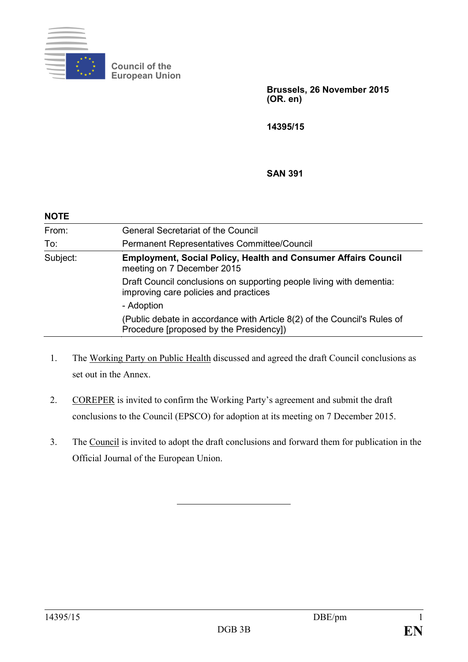

**Council of the European Union**

> **Brussels, 26 November 2015 (OR. en)**

**14395/15**

#### **SAN 391**

| <b>NOTE</b> |                                                                                                                     |
|-------------|---------------------------------------------------------------------------------------------------------------------|
| From:       | <b>General Secretariat of the Council</b>                                                                           |
| To:         | Permanent Representatives Committee/Council                                                                         |
| Subject:    | <b>Employment, Social Policy, Health and Consumer Affairs Council</b><br>meeting on 7 December 2015                 |
|             | Draft Council conclusions on supporting people living with dementia:<br>improving care policies and practices       |
|             | - Adoption                                                                                                          |
|             | (Public debate in accordance with Article 8(2) of the Council's Rules of<br>Procedure [proposed by the Presidency]) |

- 1. The Working Party on Public Health discussed and agreed the draft Council conclusions as set out in the Annex.
- 2. COREPER is invited to confirm the Working Party's agreement and submit the draft conclusions to the Council (EPSCO) for adoption at its meeting on 7 December 2015.
- 3. The Council is invited to adopt the draft conclusions and forward them for publication in the Official Journal of the European Union.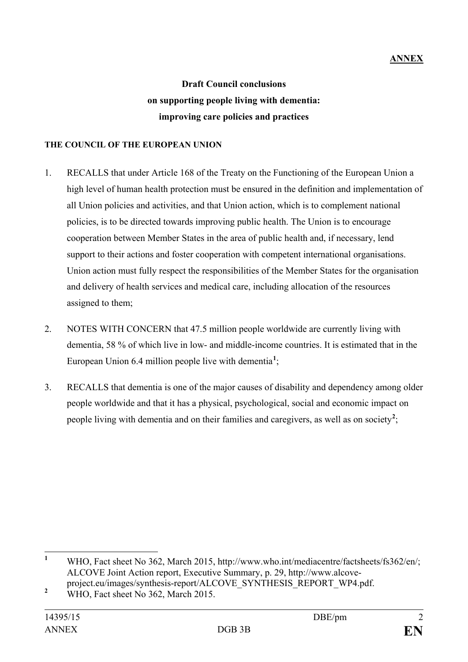## **ANNEX**

# **Draft Council conclusions on supporting people living with dementia: improving care policies and practices**

#### **THE COUNCIL OF THE EUROPEAN UNION**

- 1. RECALLS that under Article 168 of the Treaty on the Functioning of the European Union a high level of human health protection must be ensured in the definition and implementation of all Union policies and activities, and that Union action, which is to complement national policies, is to be directed towards improving public health. The Union is to encourage cooperation between Member States in the area of public health and, if necessary, lend support to their actions and foster cooperation with competent international organisations. Union action must fully respect the responsibilities of the Member States for the organisation and delivery of health services and medical care, including allocation of the resources assigned to them;
- 2. NOTES WITH CONCERN that 47.5 million people worldwide are currently living with dementia, 58 % of which live in low- and middle-income countries. It is estimated that in the European Union 6.4 million people live with dementia**[1](#page-1-0)** ;
- 3. RECALLS that dementia is one of the major causes of disability and dependency among older people worldwide and that it has a physical, psychological, social and economic impact on people living with dementia and on their families and caregivers, as well as on society<sup>[2](#page-1-1)</sup>;

<span id="page-1-0"></span>**<sup>1</sup>** WHO, Fact sheet No 362, March 2015, http://www.who.int/mediacentre/factsheets/fs362/en/; ALCOVE Joint Action report, Executive Summary, p. 29, http://www.alcove-

project.eu/images/synthesis-report/ALCOVE\_SYNTHESIS\_REPORT\_WP4.pdf.

<span id="page-1-1"></span><sup>&</sup>lt;sup>2</sup> WHO, Fact sheet No 362, March 2015.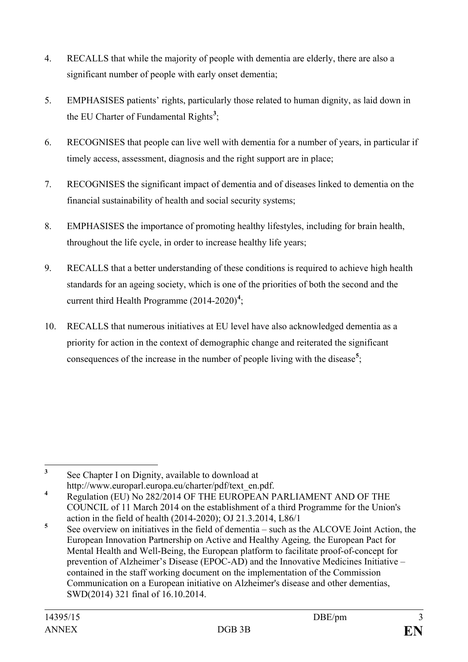- 4. RECALLS that while the majority of people with dementia are elderly, there are also a significant number of people with early onset dementia;
- 5. EMPHASISES patients' rights, particularly those related to human dignity, as laid down in the EU Charter of Fundamental Rights**[3](#page-2-0)** ;
- 6. RECOGNISES that people can live well with dementia for a number of years, in particular if timely access, assessment, diagnosis and the right support are in place;
- 7. RECOGNISES the significant impact of dementia and of diseases linked to dementia on the financial sustainability of health and social security systems;
- 8. EMPHASISES the importance of promoting healthy lifestyles, including for brain health, throughout the life cycle, in order to increase healthy life years;
- 9. RECALLS that a better understanding of these conditions is required to achieve high health standards for an ageing society, which is one of the priorities of both the second and the current third Health Programme (2014-2020)**[4](#page-2-1)** ;
- 10. RECALLS that numerous initiatives at EU level have also acknowledged dementia as a priority for action in the context of demographic change and reiterated the significant consequences of the increase in the number of people living with the disease**[5](#page-2-2)** ;

<span id="page-2-0"></span>**<sup>3</sup>** See Chapter I on Dignity, available to download at http://www.europarl.europa.eu/charter/pdf/text\_en.pdf.

<span id="page-2-1"></span>**<sup>4</sup>** Regulation (EU) No 282/2014 OF THE EUROPEAN PARLIAMENT AND OF THE COUNCIL of 11 March 2014 on the establishment of a third Programme for the Union's action in the field of health (2014-2020); OJ 21.3.2014, L86/1

<span id="page-2-2"></span><sup>&</sup>lt;sup>5</sup> See overview on initiatives in the field of dementia – such as the ALCOVE Joint Action, the European Innovation Partnership on Active and Healthy Ageing*,* the European Pact for Mental Health and Well-Being, the European platform to facilitate proof-of-concept for prevention of Alzheimer's Disease (EPOC-AD) and the Innovative Medicines Initiative – contained in the staff working document on the implementation of the Commission Communication on a European initiative on Alzheimer's disease and other dementias, SWD(2014) 321 final of 16.10.2014.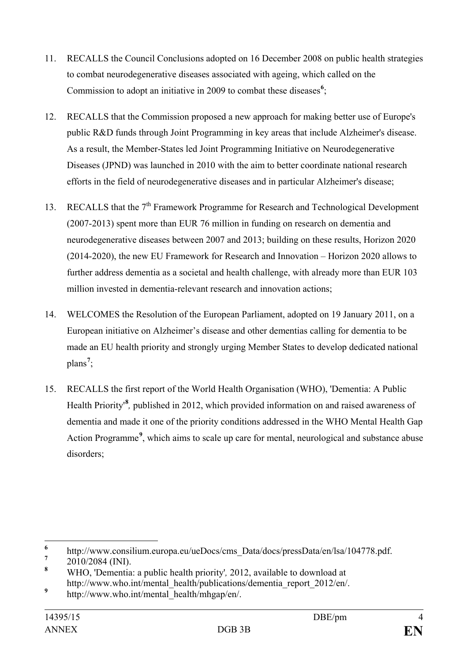- 11. RECALLS the Council Conclusions adopted on 16 December 2008 on public health strategies to combat neurodegenerative diseases associated with ageing, which called on the Commission to adopt an initiative in 2009 to combat these diseases<sup>[6](#page-3-0)</sup>;
- 12. RECALLS that the Commission proposed a new approach for making better use of Europe's public R&D funds through Joint Programming in key areas that include Alzheimer's disease. As a result, the Member-States led Joint Programming Initiative on Neurodegenerative Diseases (JPND) was launched in 2010 with the aim to better coordinate national research efforts in the field of neurodegenerative diseases and in particular Alzheimer's disease;
- 13. RECALLS that the 7<sup>th</sup> Framework Programme for Research and Technological Development (2007-2013) spent more than EUR 76 million in funding on research on dementia and neurodegenerative diseases between 2007 and 2013; building on these results, Horizon 2020 (2014-2020), the new EU Framework for Research and Innovation – Horizon 2020 allows to further address dementia as a societal and health challenge, with already more than EUR 103 million invested in dementia-relevant research and innovation actions;
- 14. WELCOMES the Resolution of the European Parliament, adopted on 19 January 2011, on a European initiative on Alzheimer's disease and other dementias calling for dementia to be made an EU health priority and strongly urging Member States to develop dedicated national plans**[7](#page-3-1)** ;
- 15. RECALLS the first report of the World Health Organisation (WHO), 'Dementia: A Public Health Priority<sup>[8](#page-3-2)</sup>, published in 2012, which provided information on and raised awareness of dementia and made it one of the priority conditions addressed in the WHO Mental Health Gap Action Programme**[9](#page-3-3)** , which aims to scale up care for mental, neurological and substance abuse disorders;

<span id="page-3-0"></span><sup>&</sup>lt;sup>6</sup> http://www.consilium.europa.eu/ueDocs/cms\_Data/docs/pressData/en/lsa/104778.pdf.<br><sup>7</sup> 2010/2004 (NU)

<span id="page-3-1"></span> $\frac{7}{8}$  2010/2084 (INI).

<span id="page-3-2"></span>**<sup>8</sup>** WHO, 'Dementia: a public health priority'*,* 2012, available to download at http://www.who.int/mental\_health/publications/dementia\_report\_2012/en/.

<span id="page-3-3"></span><sup>&</sup>lt;sup>9</sup> http://www.who.int/mental\_health/mhgap/en/.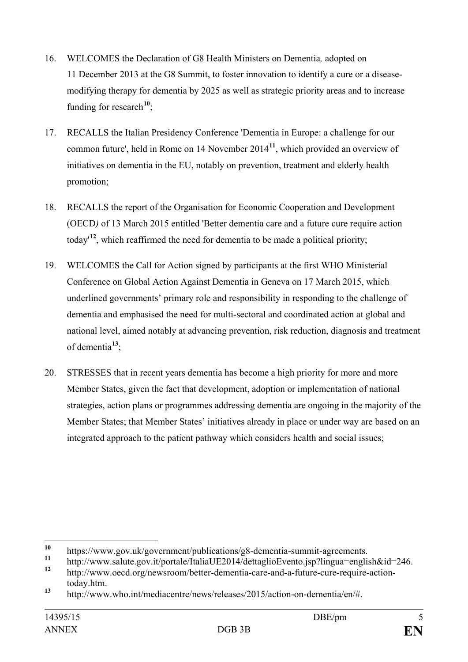- 16. WELCOMES the Declaration of G8 Health Ministers on Dementia*,* adopted on 11 December 2013 at the G8 Summit, to foster innovation to identify a cure or a diseasemodifying therapy for dementia by 2025 as well as strategic priority areas and to increase funding for research**[10](#page-4-0)**;
- 17. RECALLS the Italian Presidency Conference 'Dementia in Europe: a challenge for our common future', held in Rome on 14 November 2014**[11](#page-4-1)**, which provided an overview of initiatives on dementia in the EU, notably on prevention, treatment and elderly health promotion;
- 18. RECALLS the report of the Organisation for Economic Cooperation and Development (OECD*)* of 13 March 2015 entitled 'Better dementia care and a future cure require action today'**[12](#page-4-2)**, which reaffirmed the need for dementia to be made a political priority;
- 19. WELCOMES the Call for Action signed by participants at the first WHO Ministerial Conference on Global Action Against Dementia in Geneva on 17 March 2015, which underlined governments' primary role and responsibility in responding to the challenge of dementia and emphasised the need for multi-sectoral and coordinated action at global and national level, aimed notably at advancing prevention, risk reduction, diagnosis and treatment of dementia**[13](#page-4-3)**;
- 20. STRESSES that in recent years dementia has become a high priority for more and more Member States, given the fact that development, adoption or implementation of national strategies, action plans or programmes addressing dementia are ongoing in the majority of the Member States; that Member States' initiatives already in place or under way are based on an integrated approach to the patient pathway which considers health and social issues;

<span id="page-4-0"></span><sup>10</sup> https://www.gov.uk/government/publications/g8-dementia-summit-agreements.

<span id="page-4-2"></span><span id="page-4-1"></span><sup>11</sup> http://www.salute.gov.it/portale/ItaliaUE2014/dettaglioEvento.jsp?lingua=english&id=246.

**<sup>12</sup>** http://www.oecd.org/newsroom/better-dementia-care-and-a-future-cure-require-actiontoday.htm.

<span id="page-4-3"></span>**<sup>13</sup>** http://www.who.int/mediacentre/news/releases/2015/action-on-dementia/en/#.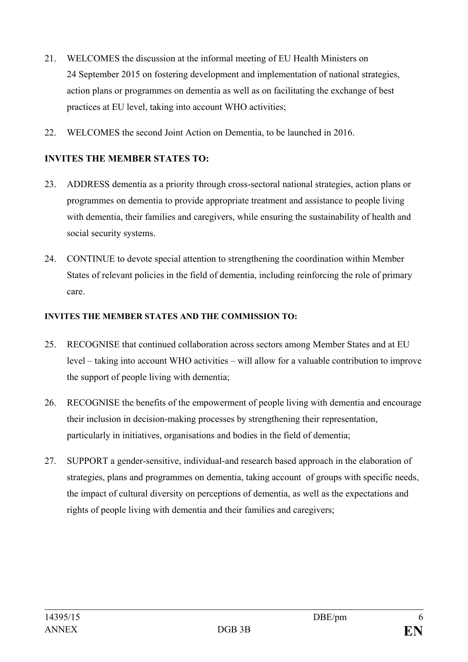- 21. WELCOMES the discussion at the informal meeting of EU Health Ministers on 24 September 2015 on fostering development and implementation of national strategies, action plans or programmes on dementia as well as on facilitating the exchange of best practices at EU level, taking into account WHO activities;
- 22. WELCOMES the second Joint Action on Dementia, to be launched in 2016.

## **INVITES THE MEMBER STATES TO:**

- 23. ADDRESS dementia as a priority through cross-sectoral national strategies, action plans or programmes on dementia to provide appropriate treatment and assistance to people living with dementia, their families and caregivers, while ensuring the sustainability of health and social security systems.
- 24. CONTINUE to devote special attention to strengthening the coordination within Member States of relevant policies in the field of dementia, including reinforcing the role of primary care.

#### **INVITES THE MEMBER STATES AND THE COMMISSION TO:**

- 25. RECOGNISE that continued collaboration across sectors among Member States and at EU level – taking into account WHO activities – will allow for a valuable contribution to improve the support of people living with dementia;
- 26. RECOGNISE the benefits of the empowerment of people living with dementia and encourage their inclusion in decision-making processes by strengthening their representation, particularly in initiatives, organisations and bodies in the field of dementia;
- 27. SUPPORT a gender-sensitive, individual-and research based approach in the elaboration of strategies, plans and programmes on dementia, taking account of groups with specific needs, the impact of cultural diversity on perceptions of dementia, as well as the expectations and rights of people living with dementia and their families and caregivers;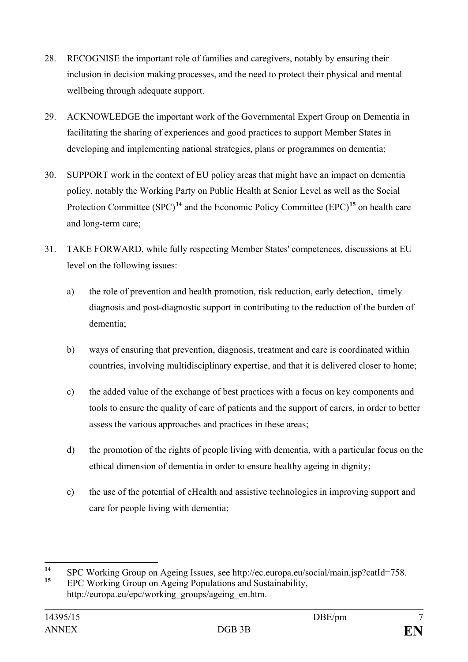- 28. RECOGNISE the important role of families and caregivers, notably by ensuring their inclusion in decision making processes, and the need to protect their physical and mental wellbeing through adequate support.
- 29. ACKNOWLEDGE the important work of the Governmental Expert Group on Dementia in facilitating the sharing of experiences and good practices to support Member States in developing and implementing national strategies, plans or programmes on dementia;
- 30. SUPPORT work in the context of EU policy areas that might have an impact on dementia policy, notably the Working Party on Public Health at Senior Level as well as the Social Protection Committee (SPC)<sup>[14](#page-6-0)</sup> and the Economic Policy Committee (EPC)<sup>[15](#page-6-1)</sup> on health care and long-term care;
- 31. TAKE FORWARD, while fully respecting Member States' competences, discussions at EU level on the following issues:
	- a) the role of prevention and health promotion, risk reduction, early detection, timely diagnosis and post-diagnostic support in contributing to the reduction of the burden of dementia;
	- b) ways of ensuring that prevention, diagnosis, treatment and care is coordinated within countries, involving multidisciplinary expertise, and that it is delivered closer to home;
	- c) the added value of the exchange of best practices with a focus on key components and tools to ensure the quality of care of patients and the support of carers, in order to better assess the various approaches and practices in these areas;
	- d) the promotion of the rights of people living with dementia, with a particular focus on the ethical dimension of dementia in order to ensure healthy ageing in dignity;
	- e) the use of the potential of eHealth and assistive technologies in improving support and care for people living with dementia;

<span id="page-6-0"></span>**<sup>14</sup>** SPC Working Group on Ageing Issues, see http://ec.europa.eu/social/main.jsp?catId=758.

<span id="page-6-1"></span>**<sup>15</sup>** EPC Working Group on Ageing Populations and Sustainability, http://europa.eu/epc/working\_groups/ageing\_en.htm.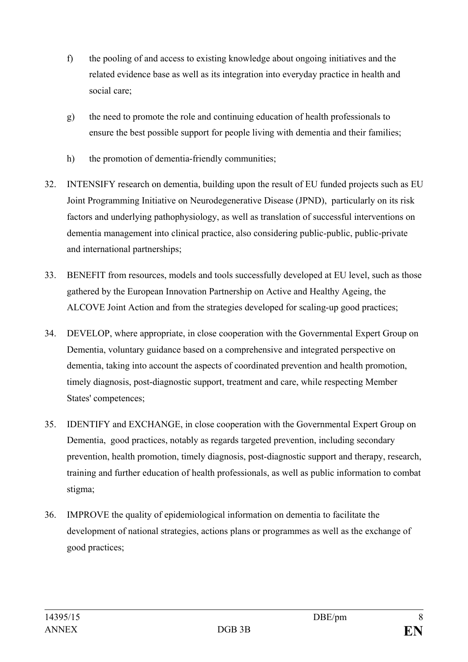- f) the pooling of and access to existing knowledge about ongoing initiatives and the related evidence base as well as its integration into everyday practice in health and social care;
- g) the need to promote the role and continuing education of health professionals to ensure the best possible support for people living with dementia and their families;
- h) the promotion of dementia-friendly communities;
- 32. INTENSIFY research on dementia, building upon the result of EU funded projects such as EU Joint Programming Initiative on Neurodegenerative Disease (JPND), particularly on its risk factors and underlying pathophysiology, as well as translation of successful interventions on dementia management into clinical practice, also considering public-public, public-private and international partnerships;
- 33. BENEFIT from resources, models and tools successfully developed at EU level, such as those gathered by the European Innovation Partnership on Active and Healthy Ageing, the ALCOVE Joint Action and from the strategies developed for scaling-up good practices;
- 34. DEVELOP, where appropriate, in close cooperation with the Governmental Expert Group on Dementia, voluntary guidance based on a comprehensive and integrated perspective on dementia, taking into account the aspects of coordinated prevention and health promotion, timely diagnosis, post-diagnostic support, treatment and care, while respecting Member States' competences;
- 35. IDENTIFY and EXCHANGE, in close cooperation with the Governmental Expert Group on Dementia, good practices, notably as regards targeted prevention, including secondary prevention, health promotion, timely diagnosis, post-diagnostic support and therapy, research, training and further education of health professionals, as well as public information to combat stigma;
- 36. IMPROVE the quality of epidemiological information on dementia to facilitate the development of national strategies, actions plans or programmes as well as the exchange of good practices;